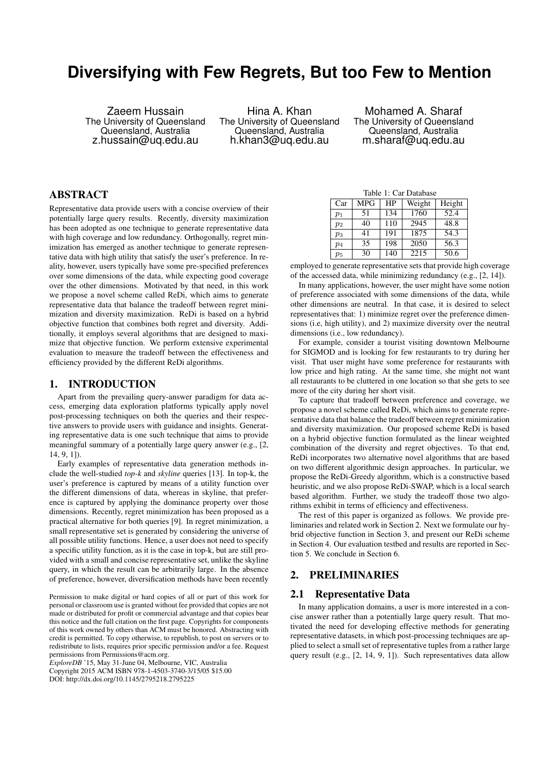# **Diversifying with Few Regrets, But too Few to Mention**

Zaeem Hussain The University of Queensland Queensland, Australia z.hussain@uq.edu.au

Hina A. Khan The University of Queensland Queensland, Australia h.khan3@uq.edu.au

Mohamed A. Sharaf The University of Queensland Queensland, Australia m.sharaf@uq.edu.au

# ABSTRACT

Representative data provide users with a concise overview of their potentially large query results. Recently, diversity maximization has been adopted as one technique to generate representative data with high coverage and low redundancy. Orthogonally, regret minimization has emerged as another technique to generate representative data with high utility that satisfy the user's preference. In reality, however, users typically have some pre-specified preferences over some dimensions of the data, while expecting good coverage over the other dimensions. Motivated by that need, in this work we propose a novel scheme called ReDi, which aims to generate representative data that balance the tradeoff between regret minimization and diversity maximization. ReDi is based on a hybrid objective function that combines both regret and diversity. Additionally, it employs several algorithms that are designed to maximize that objective function. We perform extensive experimental evaluation to measure the tradeoff between the effectiveness and efficiency provided by the different ReDi algorithms.

## 1. INTRODUCTION

Apart from the prevailing query-answer paradigm for data access, emerging data exploration platforms typically apply novel post-processing techniques on both the queries and their respective answers to provide users with guidance and insights. Generating representative data is one such technique that aims to provide meaningful summary of a potentially large query answer (e.g., [2, 14, 9, 1]).

Early examples of representative data generation methods include the well-studied *top-k* and *skyline* queries [13]. In top-k, the user's preference is captured by means of a utility function over the different dimensions of data, whereas in skyline, that preference is captured by applying the dominance property over those dimensions. Recently, regret minimization has been proposed as a practical alternative for both queries [9]. In regret minimization, a small representative set is generated by considering the universe of all possible utility functions. Hence, a user does not need to specify a specific utility function, as it is the case in top-k, but are still provided with a small and concise representative set, unlike the skyline query, in which the result can be arbitrarily large. In the absence of preference, however, diversification methods have been recently

Permission to make digital or hard copies of all or part of this work for personal or classroom use is granted without fee provided that copies are not made or distributed for profit or commercial advantage and that copies bear this notice and the full citation on the first page. Copyrights for components of this work owned by others than ACM must be honored. Abstracting with credit is permitted. To copy otherwise, to republish, to post on servers or to redistribute to lists, requires prior specific permission and/or a fee. Request permissions from Permissions@acm.org.

*ExploreDB* '15, May 31-June 04, Melbourne, VIC, Australia Copyright 2015 ACM ISBN 978-1-4503-3740-3/15/05 \$15.00 DOI: http://dx.doi.org/10.1145/2795218.2795225

| Table 1: Car Database |            |     |        |        |  |  |  |  |  |
|-----------------------|------------|-----|--------|--------|--|--|--|--|--|
| Car                   | <b>MPG</b> | HP  | Weight | Height |  |  |  |  |  |
| $p_1$                 | 51         | 134 | 1760   | 52.4   |  |  |  |  |  |
| $p_2$                 | 40         | 110 | 2945   | 48.8   |  |  |  |  |  |
| $p_3$                 | 41         | 191 | 1875   | 54.3   |  |  |  |  |  |
| $p_4$                 | 35         | 198 | 2050   | 56.3   |  |  |  |  |  |
| $p_5$                 | 30         | 140 | 2215   | 50.6   |  |  |  |  |  |

employed to generate representative sets that provide high coverage of the accessed data, while minimizing redundancy (e.g., [2, 14]).

In many applications, however, the user might have some notion of preference associated with some dimensions of the data, while other dimensions are neutral. In that case, it is desired to select representatives that: 1) minimize regret over the preference dimensions (i.e, high utility), and 2) maximize diversity over the neutral dimensions (i.e., low redundancy).

For example, consider a tourist visiting downtown Melbourne for SIGMOD and is looking for few restaurants to try during her visit. That user might have some preference for restaurants with low price and high rating. At the same time, she might not want all restaurants to be cluttered in one location so that she gets to see more of the city during her short visit.

To capture that tradeoff between preference and coverage, we propose a novel scheme called ReDi, which aims to generate representative data that balance the tradeoff between regret minimization and diversity maximization. Our proposed scheme ReDi is based on a hybrid objective function formulated as the linear weighted combination of the diversity and regret objectives. To that end, ReDi incorporates two alternative novel algorithms that are based on two different algorithmic design approaches. In particular, we propose the ReDi-Greedy algorithm, which is a constructive based heuristic, and we also propose ReDi-SWAP, which is a local search based algorithm. Further, we study the tradeoff those two algorithms exhibit in terms of efficiency and effectiveness.

The rest of this paper is organized as follows. We provide preliminaries and related work in Section 2. Next we formulate our hybrid objective function in Section 3, and present our ReDi scheme in Section 4. Our evaluation testbed and results are reported in Section 5. We conclude in Section 6.

## 2. PRELIMINARIES

### 2.1 Representative Data

In many application domains, a user is more interested in a concise answer rather than a potentially large query result. That motivated the need for developing effective methods for generating representative datasets, in which post-processing techniques are applied to select a small set of representative tuples from a rather large query result (e.g., [2, 14, 9, 1]). Such representatives data allow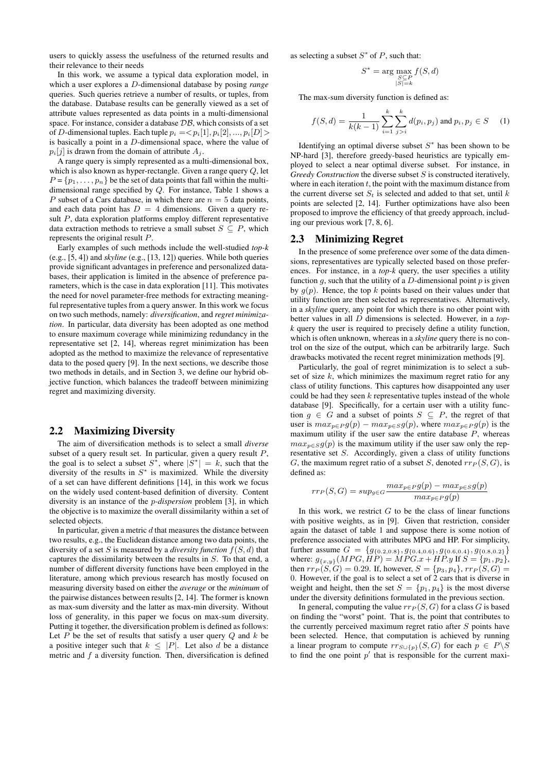users to quickly assess the usefulness of the returned results and their relevance to their needs

In this work, we assume a typical data exploration model, in which a user explores a D-dimensional database by posing *range* queries. Such queries retrieve a number of results, or tuples, from the database. Database results can be generally viewed as a set of attribute values represented as data points in a multi-dimensional space. For instance, consider a database  $\mathcal{DB}$ , which consists of a set of D-dimensional tuples. Each tuple  $p_i = \langle p_i[1], p_i[2], ..., p_i[D] \rangle$ is basically a point in a D-dimensional space, where the value of  $p_i[j]$  is drawn from the domain of attribute  $A_i$ .

A range query is simply represented as a multi-dimensional box, which is also known as hyper-rectangle. Given a range query Q, let  $P = \{p_1, \ldots, p_n\}$  be the set of data points that fall within the multidimensional range specified by Q. For instance, Table 1 shows a P subset of a Cars database, in which there are  $n = 5$  data points, and each data point has  $D = 4$  dimensions. Given a query result P, data exploration platforms employ different representative data extraction methods to retrieve a small subset  $S \subseteq P$ , which represents the original result P.

Early examples of such methods include the well-studied *top-k* (e.g., [5, 4]) and *skyline* (e.g., [13, 12]) queries. While both queries provide significant advantages in preference and personalized databases, their application is limited in the absence of preference parameters, which is the case in data exploration [11]. This motivates the need for novel parameter-free methods for extracting meaningful representative tuples from a query answer. In this work we focus on two such methods, namely: *diversification*, and *regret minimization*. In particular, data diversity has been adopted as one method to ensure maximum coverage while minimizing redundancy in the representative set [2, 14], whereas regret minimization has been adopted as the method to maximize the relevance of representative data to the posed query [9]. In the next sections, we describe those two methods in details, and in Section 3, we define our hybrid objective function, which balances the tradeoff between minimizing regret and maximizing diversity.

## 2.2 Maximizing Diversity

The aim of diversification methods is to select a small *diverse* subset of a query result set. In particular, given a query result  $P$ , the goal is to select a subset  $S^*$ , where  $|\bar{S}^*| = k$ , such that the diversity of the results in  $S^*$  is maximized. While the diversity of a set can have different definitions [14], in this work we focus on the widely used content-based definition of diversity. Content diversity is an instance of the p*-dispersion* problem [3], in which the objective is to maximize the overall dissimilarity within a set of selected objects.

In particular, given a metric  $d$  that measures the distance between two results, e.g., the Euclidean distance among two data points, the diversity of a set S is measured by a *diversity function*  $f(S, d)$  that captures the dissimilarity between the results in S. To that end, a number of different diversity functions have been employed in the literature, among which previous research has mostly focused on measuring diversity based on either the *average* or the *minimum* of the pairwise distances between results [2, 14]. The former is known as max-sum diversity and the latter as max-min diversity. Without loss of generality, in this paper we focus on max-sum diversity. Putting it together, the diversification problem is defined as follows: Let  $P$  be the set of results that satisfy a user query  $Q$  and  $k$  be a positive integer such that  $k \leq |P|$ . Let also d be a distance metric and  $f$  a diversity function. Then, diversification is defined as selecting a subset  $S^*$  of P, such that:

S

$$
S^* = \arg\max_{\substack{S \subseteq P \\ |S| = k}} f(S, d)
$$

The max-sum diversity function is defined as:

$$
f(S, d) = \frac{1}{k(k-1)} \sum_{i=1}^{k} \sum_{j>i}^{k} d(p_i, p_j) \text{ and } p_i, p_j \in S \quad (1)
$$

Identifying an optimal diverse subset  $S^*$  has been shown to be NP-hard [3], therefore greedy-based heuristics are typically employed to select a near optimal diverse subset. For instance, in *Greedy Construction* the diverse subset S is constructed iteratively, where in each iteration  $t$ , the point with the maximum distance from the current diverse set  $S_t$  is selected and added to that set, until k points are selected [2, 14]. Further optimizations have also been proposed to improve the efficiency of that greedy approach, including our previous work [7, 8, 6].

## 2.3 Minimizing Regret

In the presence of some preference over some of the data dimensions, representatives are typically selected based on those preferences. For instance, in a *top-k* query, the user specifies a utility function q, such that the utility of a  $D$ -dimensional point  $p$  is given by  $g(p)$ . Hence, the top k points based on their values under that utility function are then selected as representatives. Alternatively, in a *skyline* query, any point for which there is no other point with better values in all D dimensions is selected. However, in a *topk* query the user is required to precisely define a utility function, which is often unknown, whereas in a *skyline* query there is no control on the size of the output, which can be arbitrarily large. Such drawbacks motivated the recent regret minimization methods [9].

Particularly, the goal of regret minimization is to select a subset of size  $k$ , which minimizes the maximum regret ratio for any class of utility functions. This captures how disappointed any user could be had they seen  $k$  representative tuples instead of the whole database [9]. Specifically, for a certain user with a utility function  $g \in G$  and a subset of points  $S \subseteq P$ , the regret of that user is  $max_{p \in PQ}(p) - max_{p \in SG}(p)$ , where  $max_{p \in PQ}(p)$  is the maximum utility if the user saw the entire database  $P$ , whereas  $max_{p \in S} g(p)$  is the maximum utility if the user saw only the representative set S. Accordingly, given a class of utility functions G, the maximum regret ratio of a subset S, denoted  $rr_P(S, G)$ , is defined as:

$$
rr_P(S, G) = \sup_{g \in G} \frac{\max_{p \in P} g(p) - \max_{p \in S} g(p)}{\max_{p \in P} g(p)}
$$

In this work, we restrict  $G$  to be the class of linear functions with positive weights, as in [9]. Given that restriction, consider again the dataset of table 1 and suppose there is some notion of preference associated with attributes MPG and HP. For simplicity, further assume  $G = \{g_{\{0.2,0.8\}}, g_{\{0.4,0.6\}}, g_{\{0.6,0.4\}}, g_{\{0.8,0.2\}}\}$ where:  $g_{\{x,y\}}(MPG, HP) = MPG.x + HP.y$  If  $S = \{p_1, p_2\},\$ then  $rr_P(S, G) = 0.29$ . If, however,  $S = \{p_3, p_4\}$ ,  $rr_P(S, G)$ 0. However, if the goal is to select a set of 2 cars that is diverse in weight and height, then the set  $S = \{p_1, p_4\}$  is the most diverse under the diversity definitions formulated in the previous section.

In general, computing the value  $rr_P(S, G)$  for a class G is based on finding the "worst" point. That is, the point that contributes to the currently perceived maximum regret ratio after  $S$  points have been selected. Hence, that computation is achieved by running a linear program to compute  $rr_{S\cup\{p\}}(S, G)$  for each  $p \in P\backslash S$ to find the one point  $p'$  that is responsible for the current maxi-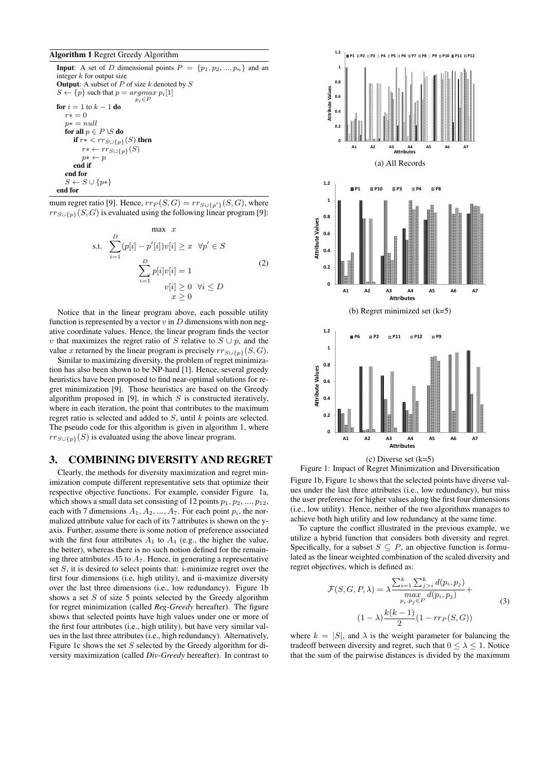#### Algorithm 1 Regret Greedy Algorithm

**Input:** A set of D dimensional points  $P = \{p_1, p_2, ..., p_n\}$  and an integer  $k$  for output size **Output:** A subset of  $P$  of size  $k$  denoted by  $S$  $S \leftarrow \{p\}$  such that  $p = argmax p_i[1]$  $p_i \in P$ for  $i = 1$  to  $k - 1$  do  $r* = 0$  $p* = null$ for all  $p \in P \setminus S$  do if  $r* < rr_{S\cup \{p\}}(S)$  then  $r^* \leftarrow rr_{S\cup\{p\}}(S)$  $p^* \leftarrow p$ end if end for  $S \leftarrow S \cup \{p*\}$ end for

mum regret ratio [9]. Hence,  $rr_P(S, G) = rr_{S \cup \{p'\}}(S, G)$ , where  $rr_{S\cup\{p\}}(S, G)$  is evaluated using the following linear program [9]:

$$
\begin{array}{ll}\n\text{max} & x\\ \n\text{s.t.} & \sum_{i=1}^{D} (p[i] - p'[i])v[i] \geq x \quad \forall p' \in S\\ \n\sum_{i=1}^{D} p[i]v[i] = 1\\ \n\sum_{i=1}^{D} v[i] \geq 0 \quad \forall i \leq D\\ \n\end{array} \tag{2}
$$

Notice that in the linear program above, each possible utility function is represented by a vector  $v$  in  $D$  dimensions with non negative coordinate values. Hence, the linear program finds the vector v that maximizes the regret ratio of S relative to  $S \cup p$ , and the value x returned by the linear program is precisely  $rr_{S\cup\{p\}}(S, G)$ .

Similar to maximizing diversity, the problem of regret minimization has also been shown to be NP-hard [1]. Hence, several greedy heuristics have been proposed to find near-optimal solutions for regret minimization [9]. Those heuristics are based on the Greedy algorithm proposed in [9], in which  $S$  is constructed iteratively, where in each iteration, the point that contributes to the maximum regret ratio is selected and added to S, until k points are selected. The pseudo code for this algorithm is given in algorithm 1, where  $rr_{S\cup\{p\}}(S)$  is evaluated using the above linear program.

## 3. COMBINING DIVERSITY AND REGRET

Clearly, the methods for diversity maximization and regret minimization compute different representative sets that optimize their respective objective functions. For example, consider Figure 1a, which shows a small data set consisting of 12 points  $p_1, p_2, ..., p_{12}$ , each with 7 dimensions  $A_1, A_2, ..., A_7$ . For each point  $p_i$ , the normalized attribute value for each of its 7 attributes is shown on the yaxis. Further, assume there is some notion of preference associated with the first four attributes  $A_1$  to  $A_4$  (e.g., the higher the value, the better), whereas there is no such notion defined for the remaining three attributes  $A5$  to  $A<sub>7</sub>$ . Hence, in generating a representative set  $S$ , it is desired to select points that: i-minimize regret over the first four dimensions (i.e, high utility), and ii-maximize diversity over the last three dimensions (i.e., low redundancy). Figure 1b shows a set  $S$  of size 5 points selected by the Greedy algorithm for regret minimization (called *Reg-Greedy* hereafter). The figure shows that selected points have high values under one or more of the first four attributes (i.e., high utility), but have very similar values in the last three attributes (i.e., high redundancy). Alternatively, Figure 1c shows the set  $S$  selected by the Greedy algorithm for diversity maximization (called *Div-Greedy* hereafter). In contrast to



Figure 1: Impact of Regret Minimization and Diversification Figure 1b, Figure 1c shows that the selected points have diverse values under the last three attributes (i.e., low redundancy), but miss the user preference for higher values along the first four dimensions (i.e., low utility). Hence, neither of the two algorithms manages to achieve both high utility and low redundancy at the same time.

To capture the conflict illustrated in the previous example, we utilize a hybrid function that considers both diversity and regret. Specifically, for a subset  $S \subseteq P$ , an objective function is formulated as the linear weighted combination of the scaled diversity and regret objectives, which is defined as:

$$
\mathcal{F}(S, G, P, \lambda) = \lambda \frac{\sum_{i=1}^{k} \sum_{j>i}^{k} d(p_i, p_j)}{\max_{p_i, p_j \in P} d(p_i, p_j)} +
$$
  
(1 - \lambda)  $\frac{k(k-1)}{2} (1 - r r_P(S, G))$  (3)

where  $k = |S|$ , and  $\lambda$  is the weight parameter for balancing the tradeoff between diversity and regret, such that  $0 \leq \lambda \leq 1$ . Notice that the sum of the pairwise distances is divided by the maximum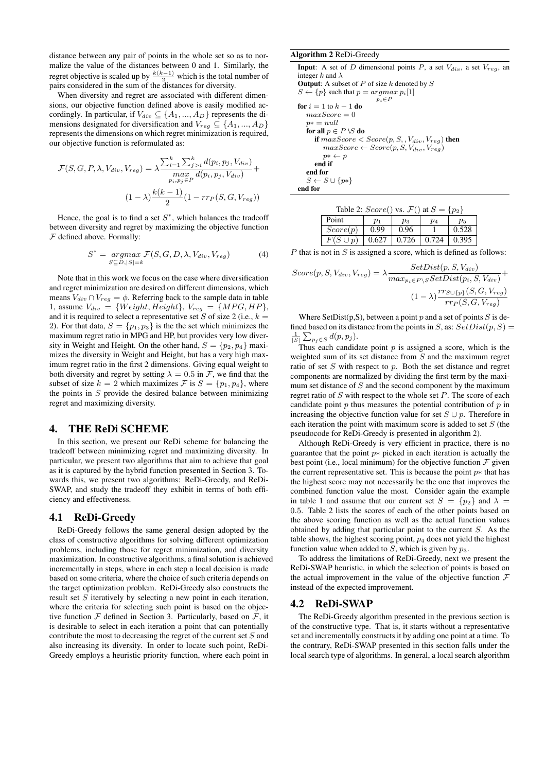distance between any pair of points in the whole set so as to normalize the value of the distances between 0 and 1. Similarly, the regret objective is scaled up by  $\frac{k(k-1)}{2}$  which is the total number of pairs considered in the sum of the distances for diversity.

When diversity and regret are associated with different dimensions, our objective function defined above is easily modified accordingly. In particular, if  $V_{div} \subseteq \{A_1, ..., A_D\}$  represents the dimensions designated for diversification and  $V_{reg} \subseteq \{A_1, ..., A_D\}$ represents the dimensions on which regret minimization is required, our objective function is reformulated as:

$$
\mathcal{F}(S, G, P, \lambda, V_{div}, V_{reg}) = \lambda \frac{\sum_{i=1}^{k} \sum_{j>i}^{k} d(p_i, p_j, V_{div})}{\max_{p_i, p_j \in P} d(p_i, p_j, V_{div})} +
$$

$$
(1 - \lambda) \frac{k(k - 1)}{2} (1 - r r_P(S, G, V_{reg}))
$$

Hence, the goal is to find a set  $S^*$ , which balances the tradeoff between diversity and regret by maximizing the objective function  $F$  defined above. Formally:

$$
S^* = \underset{S \subseteq D, |S| = k}{argmax} \mathcal{F}(S, G, D, \lambda, V_{div}, V_{reg})
$$
(4)

Note that in this work we focus on the case where diversification and regret minimization are desired on different dimensions, which means  $V_{div} \cap V_{req} = \phi$ . Referring back to the sample data in table 1, assume  $V_{div} = \{Weight, Height\}, V_{reg} = \{MPG, HP\},\$ and it is required to select a representative set S of size 2 (i.e.,  $k =$ 2). For that data,  $S = \{p_1, p_3\}$  is the the set which minimizes the maximum regret ratio in MPG and HP, but provides very low diversity in Weight and Height. On the other hand,  $S = \{p_2, p_4\}$  maximizes the diversity in Weight and Height, but has a very high maximum regret ratio in the first 2 dimensions. Giving equal weight to both diversity and regret by setting  $\lambda = 0.5$  in  $\mathcal{F}$ , we find that the subset of size  $k = 2$  which maximizes  $\mathcal F$  is  $S = \{p_1, p_4\}$ , where the points in  $S$  provide the desired balance between minimizing regret and maximizing diversity.

#### 4. THE ReDi SCHEME

In this section, we present our ReDi scheme for balancing the tradeoff between minimizing regret and maximizing diversity. In particular, we present two algorithms that aim to achieve that goal as it is captured by the hybrid function presented in Section 3. Towards this, we present two algorithms: ReDi-Greedy, and ReDi-SWAP, and study the tradeoff they exhibit in terms of both efficiency and effectiveness.

#### 4.1 ReDi-Greedy

ReDi-Greedy follows the same general design adopted by the class of constructive algorithms for solving different optimization problems, including those for regret minimization, and diversity maximization. In constructive algorithms, a final solution is achieved incrementally in steps, where in each step a local decision is made based on some criteria, where the choice of such criteria depends on the target optimization problem. ReDi-Greedy also constructs the result set  $S$  iteratively by selecting a new point in each iteration, where the criteria for selecting such point is based on the objective function  $F$  defined in Section 3. Particularly, based on  $F$ , it is desirable to select in each iteration a point that can potentially contribute the most to decreasing the regret of the current set  $S$  and also increasing its diversity. In order to locate such point, ReDi-Greedy employs a heuristic priority function, where each point in

#### Algorithm 2 ReDi-Greedy

**Input**: A set of D dimensional points P, a set  $V_{div}$ , a set  $V_{reg}$ , and integer k and  $\lambda$ **Output:** A subset of  $P$  of size  $k$  denoted by  $S$  $S \leftarrow \{p\}$  such that  $p = argmax p_i[1]$  $\stackrel{\sim}{p_i} \in P$ for  $i = 1$  to  $k - 1$  do  $maxScore = 0$  $p* = null$ for all  $p \in P \setminus S$  do if  $maxScore < Score(p, S, , V_{div}, V_{reg})$  then  $maxScore \leftarrow Score(p, S, V_{div}, V_{reg})$  $p^* \leftarrow p$ end if end for  $S \leftarrow S \cup \{p*\}$ end for

| Table 2: $Score()$ vs. $\mathcal{F}($ at $S = \{p_2\}$ |       |                                       |       |       |  |  |  |  |
|--------------------------------------------------------|-------|---------------------------------------|-------|-------|--|--|--|--|
| Point                                                  | $p_1$ | $p_3$                                 | $p_4$ | $p_5$ |  |  |  |  |
| Score(p)                                               | 0.99  | 0.96                                  |       | 0.528 |  |  |  |  |
| $F(S \cup p)$                                          |       | $0.627$   $0.726$   $0.724$   $0.395$ |       |       |  |  |  |  |

 $P$  that is not in  $S$  is assigned a score, which is defined as follows:

$$
Score(p, S, V_{div}, V_{reg}) = \lambda \frac{SetDist(p, S, V_{div})}{max_{p_i \in P \setminus S} SetDist(p_i, S, V_{div})} + \frac{(1 - \lambda) \frac{rr_{S \cup \{p\}}(S, G, V_{reg})}{rr_P(S, G, V_{reg})}}
$$

Where SetDist(p, S), between a point p and a set of points S is defined based on its distance from the points in S, as:  $SetDist(p, S)$  $\frac{1}{|S|}\sum_{p_j\in S} d(p,p_j).$ 

Thus each candidate point  $p$  is assigned a score, which is the weighted sum of its set distance from  $S$  and the maximum regret ratio of set  $S$  with respect to  $p$ . Both the set distance and regret components are normalized by dividing the first term by the maximum set distance of  $S$  and the second component by the maximum regret ratio of  $S$  with respect to the whole set  $P$ . The score of each candidate point  $p$  thus measures the potential contribution of  $p$  in increasing the objective function value for set  $S \cup p$ . Therefore in each iteration the point with maximum score is added to set  $S$  (the pseudocode for ReDi-Greedy is presented in algorithm 2).

Although ReDi-Greedy is very efficient in practice, there is no guarantee that the point  $p*$  picked in each iteration is actually the best point (i.e., local minimum) for the objective function  $\mathcal F$  given the current representative set. This is because the point  $p*$  that has the highest score may not necessarily be the one that improves the combined function value the most. Consider again the example in table 1 and assume that our current set  $S = \{p_2\}$  and  $\lambda =$ 0.5. Table 2 lists the scores of each of the other points based on the above scoring function as well as the actual function values obtained by adding that particular point to the current S. As the table shows, the highest scoring point,  $p_4$  does not yield the highest function value when added to  $\overline{S}$ , which is given by  $p_3$ .

To address the limitations of ReDi-Greedy, next we present the ReDi-SWAP heuristic, in which the selection of points is based on the actual improvement in the value of the objective function  $\mathcal F$ instead of the expected improvement.

#### 4.2 ReDi-SWAP

The ReDi-Greedy algorithm presented in the previous section is of the constructive type. That is, it starts without a representative set and incrementally constructs it by adding one point at a time. To the contrary, ReDi-SWAP presented in this section falls under the local search type of algorithms. In general, a local search algorithm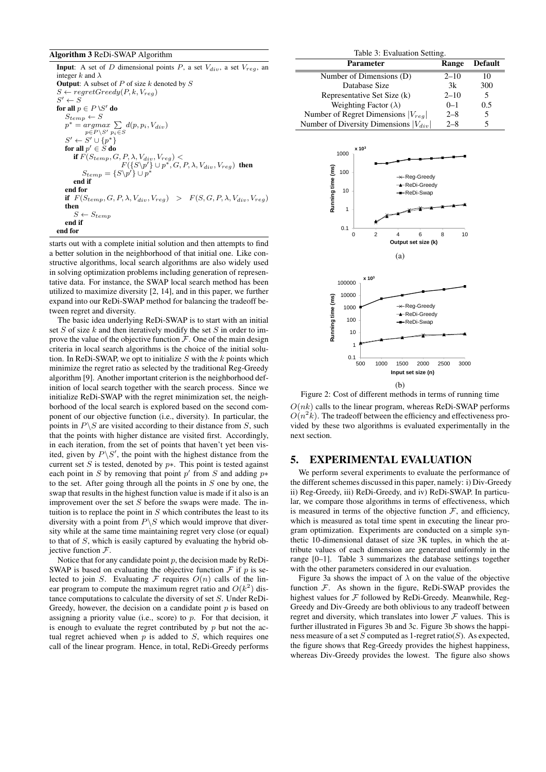#### Algorithm 3 ReDi-SWAP Algorithm

| <b>Input</b> : A set of D dimensional points P, a set $V_{div}$ , a set $V_{reg}$ , and   |
|-------------------------------------------------------------------------------------------|
| integer k and $\lambda$                                                                   |
| <b>Output:</b> A subset of P of size k denoted by S                                       |
| $S \leftarrow regretGreedy(P, k, V_{rea})$                                                |
| $S' \leftarrow S$                                                                         |
| for all $p \in P \setminus S'$ do                                                         |
| $S_{temp} \leftarrow S$                                                                   |
| $p^* = argmax \sum d(p, p_i, V_{div})$                                                    |
| $p \in P \backslash S'$ $p_i \in S$                                                       |
| $S' \leftarrow S' \cup \{p^*\}$                                                           |
| for all $p' \in S$ do                                                                     |
| if $F(S_{temp}, G, P, \lambda, V_{div}, V_{req})$                                         |
| $F({S \setminus p'} \cup p^*, G, P, \lambda, V_{div}, V_{reg})$ then                      |
| $S_{temp} = \{S \setminus p' \} \cup p^*$                                                 |
| end if                                                                                    |
| end for                                                                                   |
| if $F(S_{temp}, G, P, \lambda, V_{div}, V_{req}) > F(S, G, P, \lambda, V_{div}, V_{req})$ |
| then                                                                                      |
| $S \leftarrow S_{temp}$                                                                   |
| end if                                                                                    |
| end for                                                                                   |

starts out with a complete initial solution and then attempts to find a better solution in the neighborhood of that initial one. Like constructive algorithms, local search algorithms are also widely used in solving optimization problems including generation of representative data. For instance, the SWAP local search method has been utilized to maximize diversity [2, 14], and in this paper, we further expand into our ReDi-SWAP method for balancing the tradeoff between regret and diversity.

The basic idea underlying ReDi-SWAP is to start with an initial set  $S$  of size  $k$  and then iteratively modify the set  $S$  in order to improve the value of the objective function  $\mathcal F$ . One of the main design criteria in local search algorithms is the choice of the initial solution. In ReDi-SWAP, we opt to initialize  $S$  with the  $k$  points which minimize the regret ratio as selected by the traditional Reg-Greedy algorithm [9]. Another important criterion is the neighborhood definition of local search together with the search process. Since we initialize ReDi-SWAP with the regret minimization set, the neighborhood of the local search is explored based on the second component of our objective function (i.e., diversity). In particular, the points in  $P \backslash S$  are visited according to their distance from  $S$ , such that the points with higher distance are visited first. Accordingly, in each iteration, from the set of points that haven't yet been visited, given by  $P\backslash S'$ , the point with the highest distance from the current set  $S$  is tested, denoted by  $p*$ . This point is tested against each point in S by removing that point  $p'$  from S and adding  $p*$ to the set. After going through all the points in  $S$  one by one, the swap that results in the highest function value is made if it also is an improvement over the set  $S$  before the swaps were made. The intuition is to replace the point in  $S$  which contributes the least to its diversity with a point from  $P\$ S which would improve that diversity while at the same time maintaining regret very close (or equal) to that of S, which is easily captured by evaluating the hybrid objective function  $F$ .

Notice that for any candidate point  $p$ , the decision made by ReDi-SWAP is based on evaluating the objective function  $\mathcal F$  if  $p$  is selected to join S. Evaluating  $\mathcal F$  requires  $O(n)$  calls of the linear program to compute the maximum regret ratio and  $O(k^2)$  distance computations to calculate the diversity of set S. Under ReDi-Greedy, however, the decision on a candidate point  $p$  is based on assigning a priority value (i.e., score) to  $p$ . For that decision, it is enough to evaluate the regret contributed by  $p$  but not the actual regret achieved when  $p$  is added to  $S$ , which requires one call of the linear program. Hence, in total, ReDi-Greedy performs

| Table 3: Evaluation Setting.               |          |                |  |  |  |  |
|--------------------------------------------|----------|----------------|--|--|--|--|
| <b>Parameter</b>                           | Range    | <b>Default</b> |  |  |  |  |
| Number of Dimensions (D)                   | $2 - 10$ |                |  |  |  |  |
| Database Size                              | 3k       | 300            |  |  |  |  |
| Representative Set Size (k)                | $2 - 10$ | 5              |  |  |  |  |
| Weighting Factor $(\lambda)$               | $0 - 1$  | 0.5            |  |  |  |  |
| Number of Regret Dimensions $ V_{req} $    | $2 - 8$  | 5              |  |  |  |  |
| Number of Diversity Dimensions $ V_{div} $ | $2 - 8$  |                |  |  |  |  |



Figure 2: Cost of different methods in terms of running time  $O(nk)$  calls to the linear program, whereas ReDi-SWAP performs  $O(n^2k)$ . The tradeoff between the efficiency and effectiveness provided by these two algorithms is evaluated experimentally in the next section.

## 5. EXPERIMENTAL EVALUATION

We perform several experiments to evaluate the performance of the different schemes discussed in this paper, namely: i) Div-Greedy ii) Reg-Greedy, iii) ReDi-Greedy, and iv) ReDi-SWAP. In particular, we compare those algorithms in terms of effectiveness, which is measured in terms of the objective function  $F$ , and efficiency, which is measured as total time spent in executing the linear program optimization. Experiments are conducted on a simple synthetic 10-dimensional dataset of size 3K tuples, in which the attribute values of each dimension are generated uniformly in the range [0–1]. Table 3 summarizes the database settings together with the other parameters considered in our evaluation.

Figure 3a shows the impact of  $\lambda$  on the value of the objective function  $F$ . As shown in the figure, ReDi-SWAP provides the highest values for  $F$  followed by ReDi-Greedy. Meanwhile, Reg-Greedy and Div-Greedy are both oblivious to any tradeoff between regret and diversity, which translates into lower  $\mathcal F$  values. This is further illustrated in Figures 3b and 3c. Figure 3b shows the happiness measure of a set  $S$  computed as 1-regret ratio( $S$ ). As expected, the figure shows that Reg-Greedy provides the highest happiness, whereas Div-Greedy provides the lowest. The figure also shows